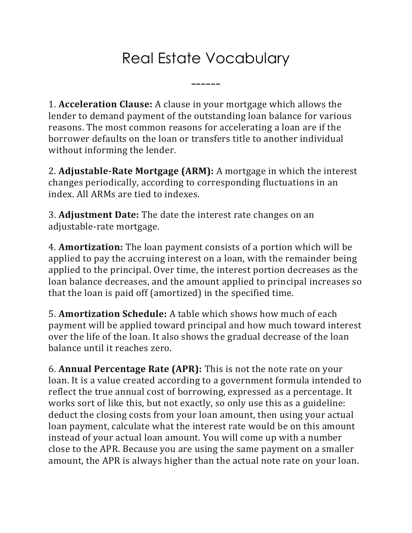## Real Estate Vocabulary

------

1. **Acceleration Clause:** A clause in your mortgage which allows the lender to demand payment of the outstanding loan balance for various reasons. The most common reasons for accelerating a loan are if the borrower defaults on the loan or transfers title to another individual without informing the lender.

2. **Adjustable-Rate Mortgage (ARM):** A mortgage in which the interest changes periodically, according to corresponding fluctuations in an index. All ARMs are tied to indexes.

3. **Adjustment Date:** The date the interest rate changes on an adjustable-rate mortgage.

4. **Amortization:** The loan payment consists of a portion which will be applied to pay the accruing interest on a loan, with the remainder being applied to the principal. Over time, the interest portion decreases as the loan balance decreases, and the amount applied to principal increases so that the loan is paid off (amortized) in the specified time.

5. **Amortization Schedule:** A table which shows how much of each payment will be applied toward principal and how much toward interest over the life of the loan. It also shows the gradual decrease of the loan balance until it reaches zero.

6. **Annual Percentage Rate (APR):** This is not the note rate on your loan. It is a value created according to a government formula intended to reflect the true annual cost of borrowing, expressed as a percentage. It works sort of like this, but not exactly, so only use this as a guideline: deduct the closing costs from your loan amount, then using your actual loan payment, calculate what the interest rate would be on this amount instead of your actual loan amount. You will come up with a number close to the APR. Because you are using the same payment on a smaller amount, the APR is always higher than the actual note rate on your loan.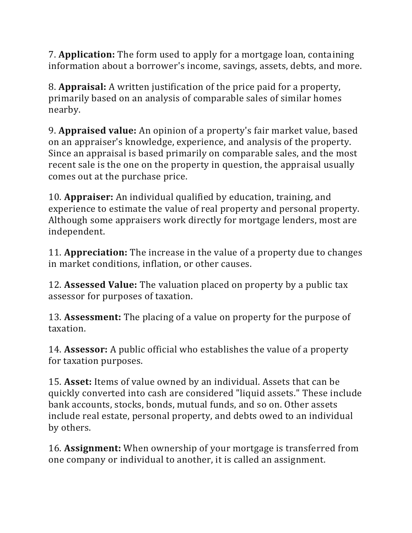7. **Application:** The form used to apply for a mortgage loan, containing information about a borrower's income, savings, assets, debts, and more.

8. **Appraisal:** A written justification of the price paid for a property, primarily based on an analysis of comparable sales of similar homes nearby.

9. **Appraised value:** An opinion of a property's fair market value, based on an appraiser's knowledge, experience, and analysis of the property. Since an appraisal is based primarily on comparable sales, and the most recent sale is the one on the property in question, the appraisal usually comes out at the purchase price.

10. **Appraiser:** An individual qualified by education, training, and experience to estimate the value of real property and personal property. Although some appraisers work directly for mortgage lenders, most are independent.

11. **Appreciation:** The increase in the value of a property due to changes in market conditions, inflation, or other causes.

12. **Assessed Value:** The valuation placed on property by a public tax assessor for purposes of taxation.

13. **Assessment:** The placing of a value on property for the purpose of taxation.

14. **Assessor:** A public official who establishes the value of a property for taxation purposes.

15. **Asset:** Items of value owned by an individual. Assets that can be quickly converted into cash are considered "liquid assets." These include bank accounts, stocks, bonds, mutual funds, and so on. Other assets include real estate, personal property, and debts owed to an individual by others.

16. **Assignment:** When ownership of your mortgage is transferred from one company or individual to another, it is called an assignment.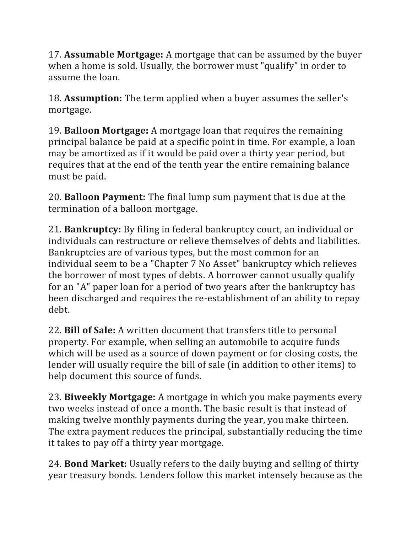17. **Assumable Mortgage:** A mortgage that can be assumed by the buyer when a home is sold. Usually, the borrower must "qualify" in order to assume the loan.

18. **Assumption:** The term applied when a buyer assumes the seller's mortgage.

19. **Balloon Mortgage:** A mortgage loan that requires the remaining principal balance be paid at a specific point in time. For example, a loan may be amortized as if it would be paid over a thirty year period, but requires that at the end of the tenth year the entire remaining balance must be paid.

20. **Balloon Payment:** The final lump sum payment that is due at the termination of a balloon mortgage.

21. **Bankruptcy:** By filing in federal bankruptcy court, an individual or individuals can restructure or relieve themselves of debts and liabilities. Bankruptcies are of various types, but the most common for an individual seem to be a "Chapter 7 No Asset" bankruptcy which relieves the borrower of most types of debts. A borrower cannot usually qualify for an "A" paper loan for a period of two years after the bankruptcy has been discharged and requires the re-establishment of an ability to repay debt.

22. **Bill of Sale:** A written document that transfers title to personal property. For example, when selling an automobile to acquire funds which will be used as a source of down payment or for closing costs, the lender will usually require the bill of sale (in addition to other items) to help document this source of funds.

23. **Biweekly Mortgage:** A mortgage in which you make payments every two weeks instead of once a month. The basic result is that instead of making twelve monthly payments during the year, you make thirteen. The extra payment reduces the principal, substantially reducing the time it takes to pay off a thirty year mortgage.

24. **Bond Market:** Usually refers to the daily buying and selling of thirty year treasury bonds. Lenders follow this market intensely because as the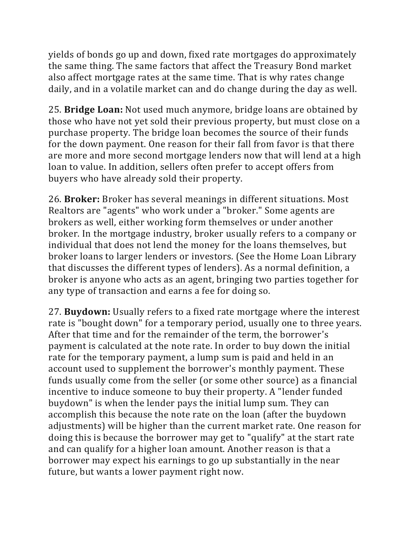yields of bonds go up and down, fixed rate mortgages do approximately the same thing. The same factors that affect the Treasury Bond market also affect mortgage rates at the same time. That is why rates change daily, and in a volatile market can and do change during the day as well.

25. **Bridge Loan:** Not used much anymore, bridge loans are obtained by those who have not yet sold their previous property, but must close on a purchase property. The bridge loan becomes the source of their funds for the down payment. One reason for their fall from favor is that there are more and more second mortgage lenders now that will lend at a high loan to value. In addition, sellers often prefer to accept offers from buyers who have already sold their property.

26. **Broker:** Broker has several meanings in different situations. Most Realtors are "agents" who work under a "broker." Some agents are brokers as well, either working form themselves or under another broker. In the mortgage industry, broker usually refers to a company or individual that does not lend the money for the loans themselves, but broker loans to larger lenders or investors. (See the Home Loan Library that discusses the different types of lenders). As a normal definition, a broker is anyone who acts as an agent, bringing two parties together for any type of transaction and earns a fee for doing so.

27. **Buydown:** Usually refers to a fixed rate mortgage where the interest rate is "bought down" for a temporary period, usually one to three years. After that time and for the remainder of the term, the borrower's payment is calculated at the note rate. In order to buy down the initial rate for the temporary payment, a lump sum is paid and held in an account used to supplement the borrower's monthly payment. These funds usually come from the seller (or some other source) as a financial incentive to induce someone to buy their property. A "lender funded buydown" is when the lender pays the initial lump sum. They can accomplish this because the note rate on the loan (after the buydown adjustments) will be higher than the current market rate. One reason for doing this is because the borrower may get to "qualify" at the start rate and can qualify for a higher loan amount. Another reason is that a borrower may expect his earnings to go up substantially in the near future, but wants a lower payment right now.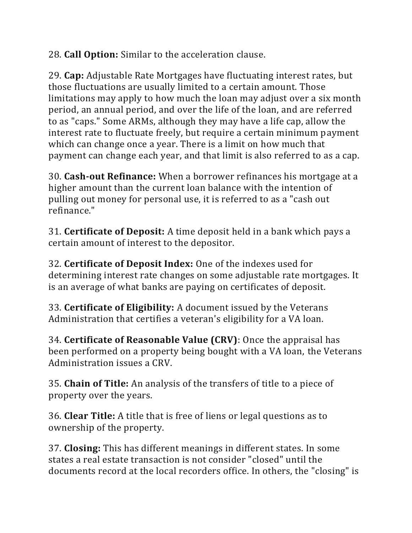28. **Call Option:** Similar to the acceleration clause.

29. **Cap:** Adjustable Rate Mortgages have fluctuating interest rates, but those fluctuations are usually limited to a certain amount. Those limitations may apply to how much the loan may adjust over a six month period, an annual period, and over the life of the loan, and are referred to as "caps." Some ARMs, although they may have a life cap, allow the interest rate to fluctuate freely, but require a certain minimum payment which can change once a year. There is a limit on how much that payment can change each year, and that limit is also referred to as a cap.

30. **Cash-out Refinance:** When a borrower refinances his mortgage at a higher amount than the current loan balance with the intention of pulling out money for personal use, it is referred to as a "cash out refinance."

31. **Certificate of Deposit:** A time deposit held in a bank which pays a certain amount of interest to the depositor.

32. **Certificate of Deposit Index:** One of the indexes used for determining interest rate changes on some adjustable rate mortgages. It is an average of what banks are paying on certificates of deposit.

33. **Certificate of Eligibility:** A document issued by the Veterans Administration that certifies a veteran's eligibility for a VA loan.

34. **Certificate of Reasonable Value (CRV)**: Once the appraisal has been performed on a property being bought with a VA loan, the Veterans Administration issues a CRV.

35. **Chain of Title:** An analysis of the transfers of title to a piece of property over the years.

36. **Clear Title:** A title that is free of liens or legal questions as to ownership of the property.

37. **Closing:** This has different meanings in different states. In some states a real estate transaction is not consider "closed" until the documents record at the local recorders office. In others, the "closing" is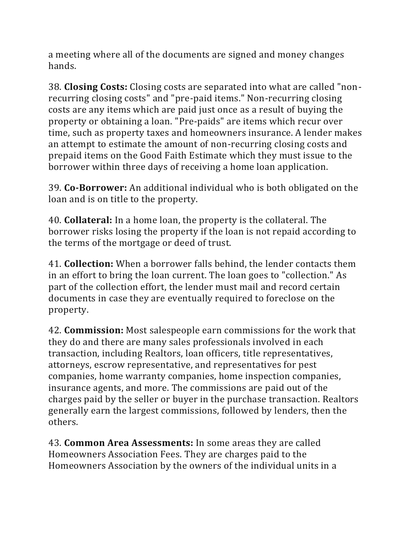a meeting where all of the documents are signed and money changes hands.

38. **Closing Costs:** Closing costs are separated into what are called "nonrecurring closing costs" and "pre-paid items." Non-recurring closing costs are any items which are paid just once as a result of buying the property or obtaining a loan. "Pre-paids" are items which recur over time, such as property taxes and homeowners insurance. A lender makes an attempt to estimate the amount of non-recurring closing costs and prepaid items on the Good Faith Estimate which they must issue to the borrower within three days of receiving a home loan application.

39. **Co-Borrower:** An additional individual who is both obligated on the loan and is on title to the property.

40. **Collateral:** In a home loan, the property is the collateral. The borrower risks losing the property if the loan is not repaid according to the terms of the mortgage or deed of trust.

41. **Collection:** When a borrower falls behind, the lender contacts them in an effort to bring the loan current. The loan goes to "collection." As part of the collection effort, the lender must mail and record certain documents in case they are eventually required to foreclose on the property.

42. **Commission:** Most salespeople earn commissions for the work that they do and there are many sales professionals involved in each transaction, including Realtors, loan officers, title representatives, attorneys, escrow representative, and representatives for pest companies, home warranty companies, home inspection companies, insurance agents, and more. The commissions are paid out of the charges paid by the seller or buyer in the purchase transaction. Realtors generally earn the largest commissions, followed by lenders, then the others.

43. **Common Area Assessments:** In some areas they are called Homeowners Association Fees. They are charges paid to the Homeowners Association by the owners of the individual units in a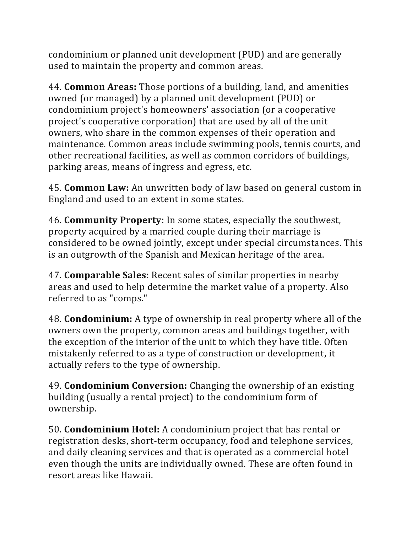condominium or planned unit development (PUD) and are generally used to maintain the property and common areas.

44. **Common Areas:** Those portions of a building, land, and amenities owned (or managed) by a planned unit development (PUD) or condominium project's homeowners' association (or a cooperative project's cooperative corporation) that are used by all of the unit owners, who share in the common expenses of their operation and maintenance. Common areas include swimming pools, tennis courts, and other recreational facilities, as well as common corridors of buildings, parking areas, means of ingress and egress, etc.

45. **Common Law:** An unwritten body of law based on general custom in England and used to an extent in some states.

46. **Community Property:** In some states, especially the southwest, property acquired by a married couple during their marriage is considered to be owned jointly, except under special circumstances. This is an outgrowth of the Spanish and Mexican heritage of the area.

47. **Comparable Sales:** Recent sales of similar properties in nearby areas and used to help determine the market value of a property. Also referred to as "comps."

48. **Condominium:** A type of ownership in real property where all of the owners own the property, common areas and buildings together, with the exception of the interior of the unit to which they have title. Often mistakenly referred to as a type of construction or development, it actually refers to the type of ownership.

49. **Condominium Conversion:** Changing the ownership of an existing building (usually a rental project) to the condominium form of ownership.

50. **Condominium Hotel:** A condominium project that has rental or registration desks, short-term occupancy, food and telephone services, and daily cleaning services and that is operated as a commercial hotel even though the units are individually owned. These are often found in resort areas like Hawaii.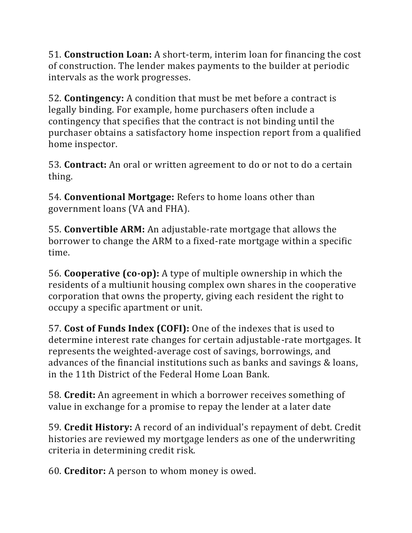51. **Construction Loan:** A short-term, interim loan for financing the cost of construction. The lender makes payments to the builder at periodic intervals as the work progresses.

52. **Contingency:** A condition that must be met before a contract is legally binding. For example, home purchasers often include a contingency that specifies that the contract is not binding until the purchaser obtains a satisfactory home inspection report from a qualified home inspector.

53. **Contract:** An oral or written agreement to do or not to do a certain thing.

54. **Conventional Mortgage:** Refers to home loans other than government loans (VA and FHA).

55. **Convertible ARM:** An adjustable-rate mortgage that allows the borrower to change the ARM to a fixed-rate mortgage within a specific time.

56. **Cooperative (co-op):** A type of multiple ownership in which the residents of a multiunit housing complex own shares in the cooperative corporation that owns the property, giving each resident the right to occupy a specific apartment or unit.

57. **Cost of Funds Index (COFI):** One of the indexes that is used to determine interest rate changes for certain adjustable-rate mortgages. It represents the weighted-average cost of savings, borrowings, and advances of the financial institutions such as banks and savings & loans, in the 11th District of the Federal Home Loan Bank.

58. **Credit:** An agreement in which a borrower receives something of value in exchange for a promise to repay the lender at a later date

59. **Credit History:** A record of an individual's repayment of debt. Credit histories are reviewed my mortgage lenders as one of the underwriting criteria in determining credit risk.

60. **Creditor:** A person to whom money is owed.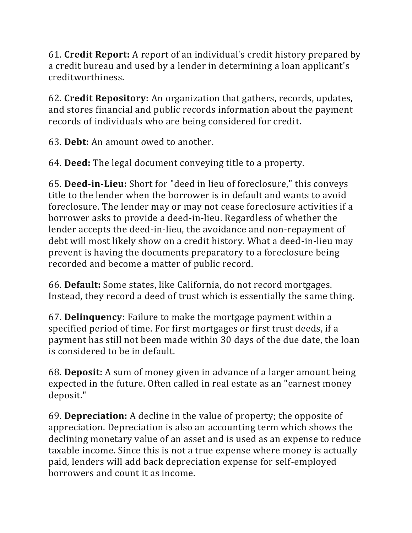61. **Credit Report:** A report of an individual's credit history prepared by a credit bureau and used by a lender in determining a loan applicant's creditworthiness.

62. **Credit Repository:** An organization that gathers, records, updates, and stores financial and public records information about the payment records of individuals who are being considered for credit.

63. **Debt:** An amount owed to another.

64. **Deed:** The legal document conveying title to a property.

65. **Deed-in-Lieu:** Short for "deed in lieu of foreclosure," this conveys title to the lender when the borrower is in default and wants to avoid foreclosure. The lender may or may not cease foreclosure activities if a borrower asks to provide a deed-in-lieu. Regardless of whether the lender accepts the deed-in-lieu, the avoidance and non-repayment of debt will most likely show on a credit history. What a deed-in-lieu may prevent is having the documents preparatory to a foreclosure being recorded and become a matter of public record.

66. **Default:** Some states, like California, do not record mortgages. Instead, they record a deed of trust which is essentially the same thing.

67. **Delinquency:** Failure to make the mortgage payment within a specified period of time. For first mortgages or first trust deeds, if a payment has still not been made within 30 days of the due date, the loan is considered to be in default.

68. **Deposit:** A sum of money given in advance of a larger amount being expected in the future. Often called in real estate as an "earnest money deposit."

69. **Depreciation:** A decline in the value of property; the opposite of appreciation. Depreciation is also an accounting term which shows the declining monetary value of an asset and is used as an expense to reduce taxable income. Since this is not a true expense where money is actually paid, lenders will add back depreciation expense for self-employed borrowers and count it as income.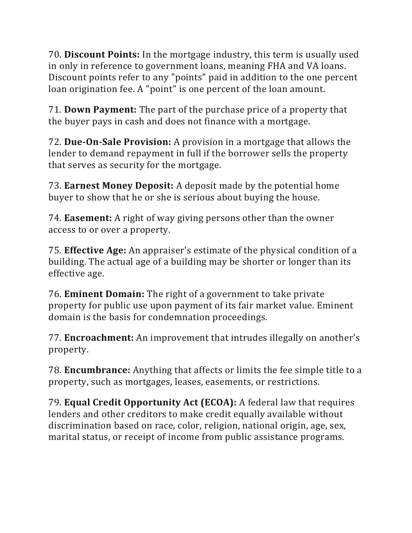70. **Discount Points:** In the mortgage industry, this term is usually used in only in reference to government loans, meaning FHA and VA loans. Discount points refer to any "points" paid in addition to the one percent loan origination fee. A "point" is one percent of the loan amount.

71. **Down Payment:** The part of the purchase price of a property that the buyer pays in cash and does not finance with a mortgage.

72. **Due-On-Sale Provision:** A provision in a mortgage that allows the lender to demand repayment in full if the borrower sells the property that serves as security for the mortgage.

73. **Earnest Money Deposit:** A deposit made by the potential home buyer to show that he or she is serious about buying the house.

74. **Easement:** A right of way giving persons other than the owner access to or over a property.

75. **Effective Age:** An appraiser's estimate of the physical condition of a building. The actual age of a building may be shorter or longer than its effective age.

76. **Eminent Domain:** The right of a government to take private property for public use upon payment of its fair market value. Eminent domain is the basis for condemnation proceedings.

77. **Encroachment:** An improvement that intrudes illegally on another's property.

78. **Encumbrance:** Anything that affects or limits the fee simple title to a property, such as mortgages, leases, easements, or restrictions.

79. **Equal Credit Opportunity Act (ECOA):** A federal law that requires lenders and other creditors to make credit equally available without discrimination based on race, color, religion, national origin, age, sex, marital status, or receipt of income from public assistance programs.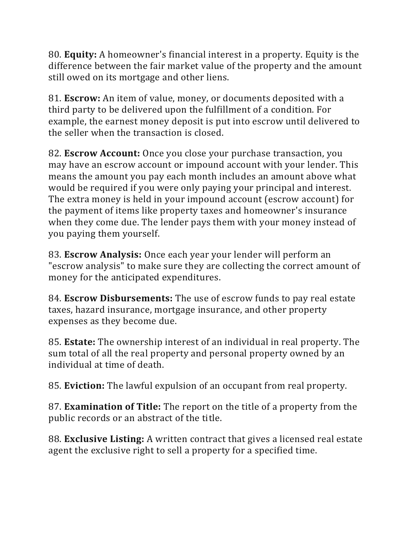80. **Equity:** A homeowner's financial interest in a property. Equity is the difference between the fair market value of the property and the amount still owed on its mortgage and other liens.

81. **Escrow:** An item of value, money, or documents deposited with a third party to be delivered upon the fulfillment of a condition. For example, the earnest money deposit is put into escrow until delivered to the seller when the transaction is closed.

82. **Escrow Account:** Once you close your purchase transaction, you may have an escrow account or impound account with your lender. This means the amount you pay each month includes an amount above what would be required if you were only paying your principal and interest. The extra money is held in your impound account (escrow account) for the payment of items like property taxes and homeowner's insurance when they come due. The lender pays them with your money instead of you paying them yourself.

83. **Escrow Analysis:** Once each year your lender will perform an "escrow analysis" to make sure they are collecting the correct amount of money for the anticipated expenditures.

84. **Escrow Disbursements:** The use of escrow funds to pay real estate taxes, hazard insurance, mortgage insurance, and other property expenses as they become due.

85. **Estate:** The ownership interest of an individual in real property. The sum total of all the real property and personal property owned by an individual at time of death.

85. **Eviction:** The lawful expulsion of an occupant from real property.

87. **Examination of Title:** The report on the title of a property from the public records or an abstract of the title.

88. **Exclusive Listing:** A written contract that gives a licensed real estate agent the exclusive right to sell a property for a specified time.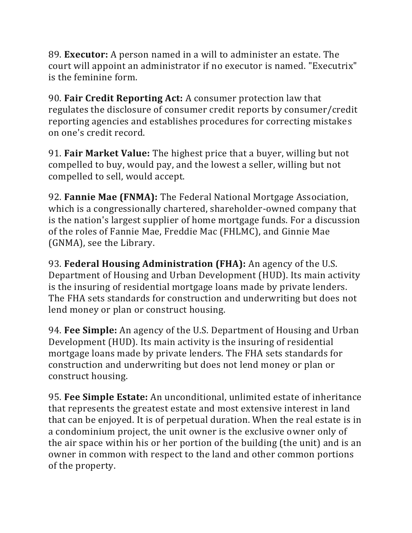89. **Executor:** A person named in a will to administer an estate. The court will appoint an administrator if no executor is named. "Executrix" is the feminine form.

90. **Fair Credit Reporting Act:** A consumer protection law that regulates the disclosure of consumer credit reports by consumer/credit reporting agencies and establishes procedures for correcting mistakes on one's credit record.

91. **Fair Market Value:** The highest price that a buyer, willing but not compelled to buy, would pay, and the lowest a seller, willing but not compelled to sell, would accept.

92. **Fannie Mae (FNMA):** The Federal National Mortgage Association, which is a congressionally chartered, shareholder-owned company that is the nation's largest supplier of home mortgage funds. For a discussion of the roles of Fannie Mae, Freddie Mac (FHLMC), and Ginnie Mae (GNMA), see the Library.

93. **Federal Housing Administration (FHA):** An agency of the U.S. Department of Housing and Urban Development (HUD). Its main activity is the insuring of residential mortgage loans made by private lenders. The FHA sets standards for construction and underwriting but does not lend money or plan or construct housing.

94. **Fee Simple:** An agency of the U.S. Department of Housing and Urban Development (HUD). Its main activity is the insuring of residential mortgage loans made by private lenders. The FHA sets standards for construction and underwriting but does not lend money or plan or construct housing.

95. **Fee Simple Estate:** An unconditional, unlimited estate of inheritance that represents the greatest estate and most extensive interest in land that can be enjoyed. It is of perpetual duration. When the real estate is in a condominium project, the unit owner is the exclusive owner only of the air space within his or her portion of the building (the unit) and is an owner in common with respect to the land and other common portions of the property.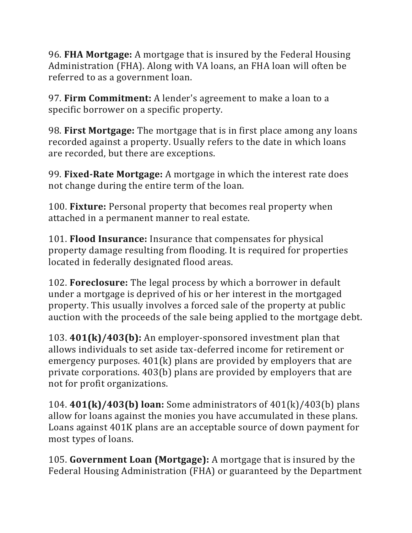96. **FHA Mortgage:** A mortgage that is insured by the Federal Housing Administration (FHA). Along with VA loans, an FHA loan will often be referred to as a government loan.

97. **Firm Commitment:** A lender's agreement to make a loan to a specific borrower on a specific property.

98. **First Mortgage:** The mortgage that is in first place among any loans recorded against a property. Usually refers to the date in which loans are recorded, but there are exceptions.

99. **Fixed-Rate Mortgage:** A mortgage in which the interest rate does not change during the entire term of the loan.

100. **Fixture:** Personal property that becomes real property when attached in a permanent manner to real estate.

101. **Flood Insurance:** Insurance that compensates for physical property damage resulting from flooding. It is required for properties located in federally designated flood areas.

102. **Foreclosure:** The legal process by which a borrower in default under a mortgage is deprived of his or her interest in the mortgaged property. This usually involves a forced sale of the property at public auction with the proceeds of the sale being applied to the mortgage debt.

103. **401(k)/403(b):** An employer-sponsored investment plan that allows individuals to set aside tax-deferred income for retirement or emergency purposes. 401(k) plans are provided by employers that are private corporations. 403(b) plans are provided by employers that are not for profit organizations.

104. **401(k)/403(b) loan:** Some administrators of 401(k)/403(b) plans allow for loans against the monies you have accumulated in these plans. Loans against 401K plans are an acceptable source of down payment for most types of loans.

105. **Government Loan (Mortgage):** A mortgage that is insured by the Federal Housing Administration (FHA) or guaranteed by the Department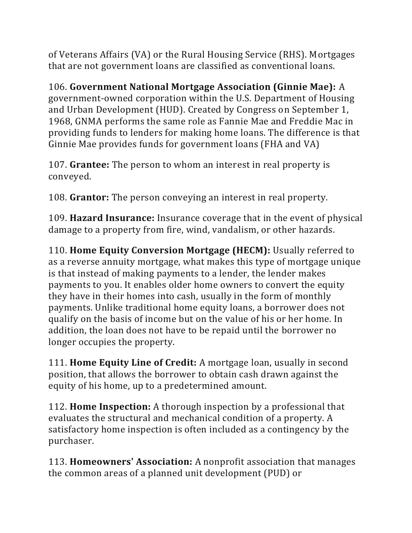of Veterans Affairs (VA) or the Rural Housing Service (RHS). Mortgages that are not government loans are classified as conventional loans.

106. **Government National Mortgage Association (Ginnie Mae):** A government-owned corporation within the U.S. Department of Housing and Urban Development (HUD). Created by Congress on September 1, 1968, GNMA performs the same role as Fannie Mae and Freddie Mac in providing funds to lenders for making home loans. The difference is that Ginnie Mae provides funds for government loans (FHA and VA)

107. **Grantee:** The person to whom an interest in real property is conveyed.

108. **Grantor:** The person conveying an interest in real property.

109. **Hazard Insurance:** Insurance coverage that in the event of physical damage to a property from fire, wind, vandalism, or other hazards.

110. **Home Equity Conversion Mortgage (HECM):** Usually referred to as a reverse annuity mortgage, what makes this type of mortgage unique is that instead of making payments to a lender, the lender makes payments to you. It enables older home owners to convert the equity they have in their homes into cash, usually in the form of monthly payments. Unlike traditional home equity loans, a borrower does not qualify on the basis of income but on the value of his or her home. In addition, the loan does not have to be repaid until the borrower no longer occupies the property.

111. **Home Equity Line of Credit:** A mortgage loan, usually in second position, that allows the borrower to obtain cash drawn against the equity of his home, up to a predetermined amount.

112. **Home Inspection:** A thorough inspection by a professional that evaluates the structural and mechanical condition of a property. A satisfactory home inspection is often included as a contingency by the purchaser.

113. **Homeowners' Association:** A nonprofit association that manages the common areas of a planned unit development (PUD) or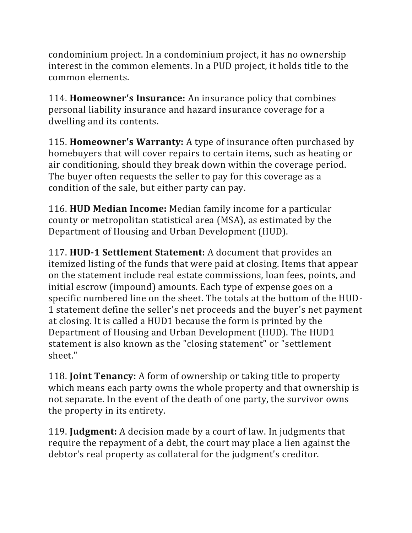condominium project. In a condominium project, it has no ownership interest in the common elements. In a PUD project, it holds title to the common elements.

114. **Homeowner's Insurance:** An insurance policy that combines personal liability insurance and hazard insurance coverage for a dwelling and its contents.

115. **Homeowner's Warranty:** A type of insurance often purchased by homebuyers that will cover repairs to certain items, such as heating or air conditioning, should they break down within the coverage period. The buyer often requests the seller to pay for this coverage as a condition of the sale, but either party can pay.

116. **HUD Median Income:** Median family income for a particular county or metropolitan statistical area (MSA), as estimated by the Department of Housing and Urban Development (HUD).

117. **HUD-1 Settlement Statement:** A document that provides an itemized listing of the funds that were paid at closing. Items that appear on the statement include real estate commissions, loan fees, points, and initial escrow (impound) amounts. Each type of expense goes on a specific numbered line on the sheet. The totals at the bottom of the HUD-1 statement define the seller's net proceeds and the buyer's net payment at closing. It is called a HUD1 because the form is printed by the Department of Housing and Urban Development (HUD). The HUD1 statement is also known as the "closing statement" or "settlement sheet."

118. **Joint Tenancy:** A form of ownership or taking title to property which means each party owns the whole property and that ownership is not separate. In the event of the death of one party, the survivor owns the property in its entirety.

119. **Judgment:** A decision made by a court of law. In judgments that require the repayment of a debt, the court may place a lien against the debtor's real property as collateral for the judgment's creditor.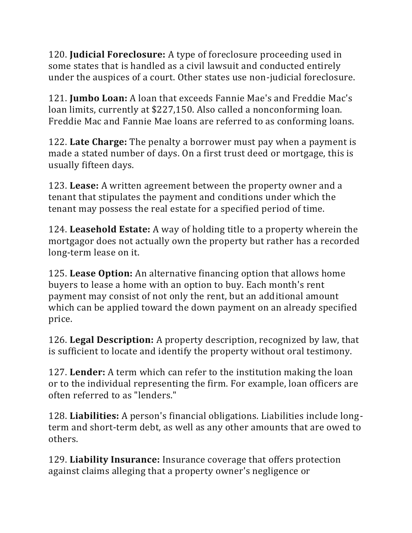120. **Judicial Foreclosure:** A type of foreclosure proceeding used in some states that is handled as a civil lawsuit and conducted entirely under the auspices of a court. Other states use non-judicial foreclosure.

121. **Jumbo Loan:** A loan that exceeds Fannie Mae's and Freddie Mac's loan limits, currently at \$227,150. Also called a nonconforming loan. Freddie Mac and Fannie Mae loans are referred to as conforming loans.

122. **Late Charge:** The penalty a borrower must pay when a payment is made a stated number of days. On a first trust deed or mortgage, this is usually fifteen days.

123. **Lease:** A written agreement between the property owner and a tenant that stipulates the payment and conditions under which the tenant may possess the real estate for a specified period of time.

124. **Leasehold Estate:** A way of holding title to a property wherein the mortgagor does not actually own the property but rather has a recorded long-term lease on it.

125. **Lease Option:** An alternative financing option that allows home buyers to lease a home with an option to buy. Each month's rent payment may consist of not only the rent, but an additional amount which can be applied toward the down payment on an already specified price.

126. **Legal Description:** A property description, recognized by law, that is sufficient to locate and identify the property without oral testimony.

127. **Lender:** A term which can refer to the institution making the loan or to the individual representing the firm. For example, loan officers are often referred to as "lenders."

128. **Liabilities:** A person's financial obligations. Liabilities include longterm and short-term debt, as well as any other amounts that are owed to others.

129. **Liability Insurance:** Insurance coverage that offers protection against claims alleging that a property owner's negligence or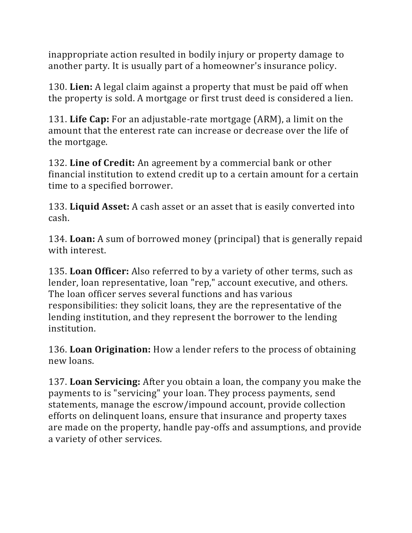inappropriate action resulted in bodily injury or property damage to another party. It is usually part of a homeowner's insurance policy.

130. **Lien:** A legal claim against a property that must be paid off when the property is sold. A mortgage or first trust deed is considered a lien.

131. **Life Cap:** For an adjustable-rate mortgage (ARM), a limit on the amount that the enterest rate can increase or decrease over the life of the mortgage.

132. **Line of Credit:** An agreement by a commercial bank or other financial institution to extend credit up to a certain amount for a certain time to a specified borrower.

133. **Liquid Asset:** A cash asset or an asset that is easily converted into cash.

134. **Loan:** A sum of borrowed money (principal) that is generally repaid with interest.

135. **Loan Officer:** Also referred to by a variety of other terms, such as lender, loan representative, loan "rep," account executive, and others. The loan officer serves several functions and has various responsibilities: they solicit loans, they are the representative of the lending institution, and they represent the borrower to the lending institution.

136. **Loan Origination:** How a lender refers to the process of obtaining new loans.

137. **Loan Servicing:** After you obtain a loan, the company you make the payments to is "servicing" your loan. They process payments, send statements, manage the escrow/impound account, provide collection efforts on delinquent loans, ensure that insurance and property taxes are made on the property, handle pay-offs and assumptions, and provide a variety of other services.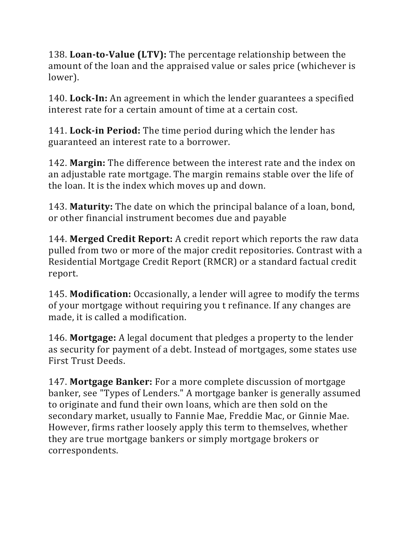138. **Loan-to-Value (LTV):** The percentage relationship between the amount of the loan and the appraised value or sales price (whichever is lower).

140. **Lock-In:** An agreement in which the lender guarantees a specified interest rate for a certain amount of time at a certain cost.

141. **Lock-in Period:** The time period during which the lender has guaranteed an interest rate to a borrower.

142. **Margin:** The difference between the interest rate and the index on an adjustable rate mortgage. The margin remains stable over the life of the loan. It is the index which moves up and down.

143. **Maturity:** The date on which the principal balance of a loan, bond, or other financial instrument becomes due and payable

144. **Merged Credit Report:** A credit report which reports the raw data pulled from two or more of the major credit repositories. Contrast with a Residential Mortgage Credit Report (RMCR) or a standard factual credit report.

145. **Modification:** Occasionally, a lender will agree to modify the terms of your mortgage without requiring you t refinance. If any changes are made, it is called a modification.

146. **Mortgage:** A legal document that pledges a property to the lender as security for payment of a debt. Instead of mortgages, some states use First Trust Deeds.

147. **Mortgage Banker:** For a more complete discussion of mortgage banker, see "Types of Lenders." A mortgage banker is generally assumed to originate and fund their own loans, which are then sold on the secondary market, usually to Fannie Mae, Freddie Mac, or Ginnie Mae. However, firms rather loosely apply this term to themselves, whether they are true mortgage bankers or simply mortgage brokers or correspondents.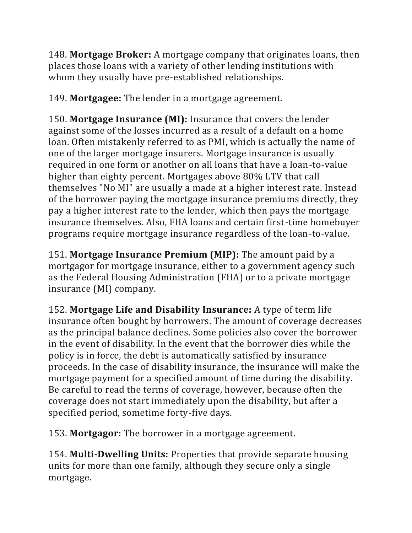148. **Mortgage Broker:** A mortgage company that originates loans, then places those loans with a variety of other lending institutions with whom they usually have pre-established relationships.

149. **Mortgagee:** The lender in a mortgage agreement.

150. **Mortgage Insurance (MI):** Insurance that covers the lender against some of the losses incurred as a result of a default on a home loan. Often mistakenly referred to as PMI, which is actually the name of one of the larger mortgage insurers. Mortgage insurance is usually required in one form or another on all loans that have a loan-to-value higher than eighty percent. Mortgages above 80% LTV that call themselves "No MI" are usually a made at a higher interest rate. Instead of the borrower paying the mortgage insurance premiums directly, they pay a higher interest rate to the lender, which then pays the mortgage insurance themselves. Also, FHA loans and certain first-time homebuyer programs require mortgage insurance regardless of the loan-to-value.

151. **Mortgage Insurance Premium (MIP):** The amount paid by a mortgagor for mortgage insurance, either to a government agency such as the Federal Housing Administration (FHA) or to a private mortgage insurance (MI) company.

152. **Mortgage Life and Disability Insurance:** A type of term life insurance often bought by borrowers. The amount of coverage decreases as the principal balance declines. Some policies also cover the borrower in the event of disability. In the event that the borrower dies while the policy is in force, the debt is automatically satisfied by insurance proceeds. In the case of disability insurance, the insurance will make the mortgage payment for a specified amount of time during the disability. Be careful to read the terms of coverage, however, because often the coverage does not start immediately upon the disability, but after a specified period, sometime forty-five days.

153. **Mortgagor:** The borrower in a mortgage agreement.

154. **Multi-Dwelling Units:** Properties that provide separate housing units for more than one family, although they secure only a single mortgage.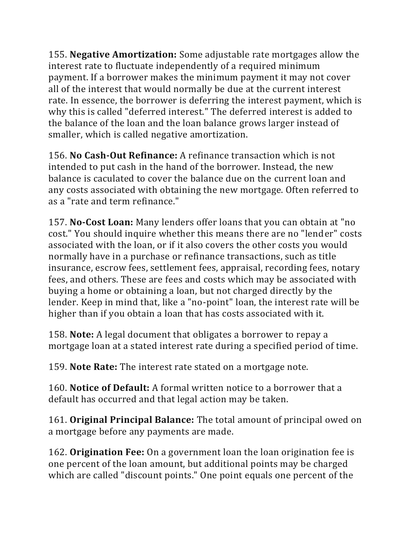155. **Negative Amortization:** Some adjustable rate mortgages allow the interest rate to fluctuate independently of a required minimum payment. If a borrower makes the minimum payment it may not cover all of the interest that would normally be due at the current interest rate. In essence, the borrower is deferring the interest payment, which is why this is called "deferred interest." The deferred interest is added to the balance of the loan and the loan balance grows larger instead of smaller, which is called negative amortization.

156. **No Cash-Out Refinance:** A refinance transaction which is not intended to put cash in the hand of the borrower. Instead, the new balance is caculated to cover the balance due on the current loan and any costs associated with obtaining the new mortgage. Often referred to as a "rate and term refinance."

157. **No-Cost Loan:** Many lenders offer loans that you can obtain at "no cost." You should inquire whether this means there are no "lender" costs associated with the loan, or if it also covers the other costs you would normally have in a purchase or refinance transactions, such as title insurance, escrow fees, settlement fees, appraisal, recording fees, notary fees, and others. These are fees and costs which may be associated with buying a home or obtaining a loan, but not charged directly by the lender. Keep in mind that, like a "no-point" loan, the interest rate will be higher than if you obtain a loan that has costs associated with it.

158. **Note:** A legal document that obligates a borrower to repay a mortgage loan at a stated interest rate during a specified period of time.

159. **Note Rate:** The interest rate stated on a mortgage note.

160. **Notice of Default:** A formal written notice to a borrower that a default has occurred and that legal action may be taken.

161. **Original Principal Balance:** The total amount of principal owed on a mortgage before any payments are made.

162. **Origination Fee:** On a government loan the loan origination fee is one percent of the loan amount, but additional points may be charged which are called "discount points." One point equals one percent of the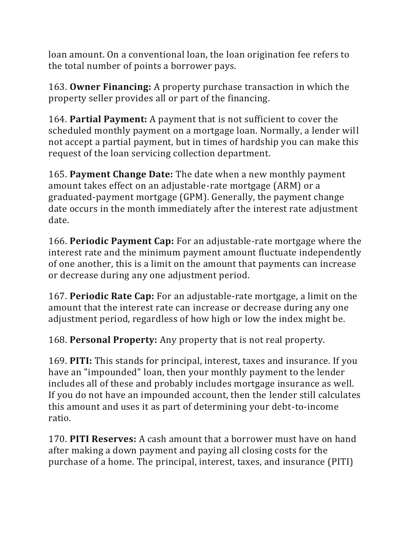loan amount. On a conventional loan, the loan origination fee refers to the total number of points a borrower pays.

163. **Owner Financing:** A property purchase transaction in which the property seller provides all or part of the financing.

164. **Partial Payment:** A payment that is not sufficient to cover the scheduled monthly payment on a mortgage loan. Normally, a lender will not accept a partial payment, but in times of hardship you can make this request of the loan servicing collection department.

165. **Payment Change Date:** The date when a new monthly payment amount takes effect on an adjustable-rate mortgage (ARM) or a graduated-payment mortgage (GPM). Generally, the payment change date occurs in the month immediately after the interest rate adjustment date.

166. **Periodic Payment Cap:** For an adjustable-rate mortgage where the interest rate and the minimum payment amount fluctuate independently of one another, this is a limit on the amount that payments can increase or decrease during any one adjustment period.

167. **Periodic Rate Cap:** For an adjustable-rate mortgage, a limit on the amount that the interest rate can increase or decrease during any one adjustment period, regardless of how high or low the index might be.

168. **Personal Property:** Any property that is not real property.

169. **PITI:** This stands for principal, interest, taxes and insurance. If you have an "impounded" loan, then your monthly payment to the lender includes all of these and probably includes mortgage insurance as well. If you do not have an impounded account, then the lender still calculates this amount and uses it as part of determining your debt-to-income ratio.

170. **PITI Reserves:** A cash amount that a borrower must have on hand after making a down payment and paying all closing costs for the purchase of a home. The principal, interest, taxes, and insurance (PITI)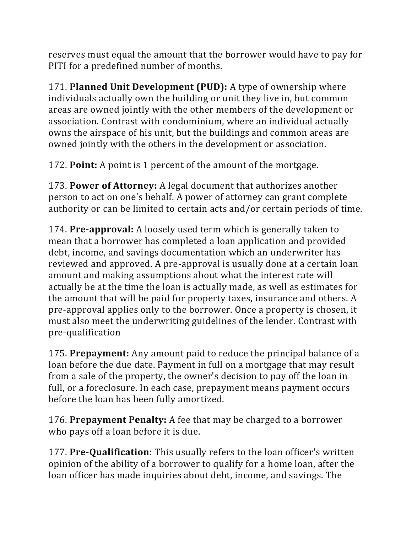reserves must equal the amount that the borrower would have to pay for PITI for a predefined number of months.

171. **Planned Unit Development (PUD):** A type of ownership where individuals actually own the building or unit they live in, but common areas are owned jointly with the other members of the development or association. Contrast with condominium, where an individual actually owns the airspace of his unit, but the buildings and common areas are owned jointly with the others in the development or association.

172. **Point:** A point is 1 percent of the amount of the mortgage.

173. **Power of Attorney:** A legal document that authorizes another person to act on one's behalf. A power of attorney can grant complete authority or can be limited to certain acts and/or certain periods of time.

174. **Pre-approval:** A loosely used term which is generally taken to mean that a borrower has completed a loan application and provided debt, income, and savings documentation which an underwriter has reviewed and approved. A pre-approval is usually done at a certain loan amount and making assumptions about what the interest rate will actually be at the time the loan is actually made, as well as estimates for the amount that will be paid for property taxes, insurance and others. A pre-approval applies only to the borrower. Once a property is chosen, it must also meet the underwriting guidelines of the lender. Contrast with pre-qualification

175. **Prepayment:** Any amount paid to reduce the principal balance of a loan before the due date. Payment in full on a mortgage that may result from a sale of the property, the owner's decision to pay off the loan in full, or a foreclosure. In each case, prepayment means payment occurs before the loan has been fully amortized.

176. **Prepayment Penalty:** A fee that may be charged to a borrower who pays off a loan before it is due.

177. **Pre-Qualification:** This usually refers to the loan officer's written opinion of the ability of a borrower to qualify for a home loan, after the loan officer has made inquiries about debt, income, and savings. The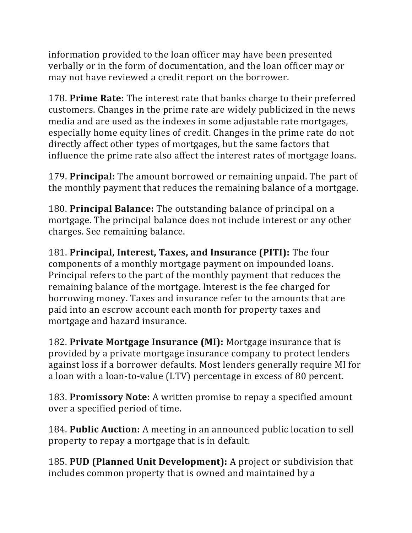information provided to the loan officer may have been presented verbally or in the form of documentation, and the loan officer may or may not have reviewed a credit report on the borrower.

178. **Prime Rate:** The interest rate that banks charge to their preferred customers. Changes in the prime rate are widely publicized in the news media and are used as the indexes in some adjustable rate mortgages, especially home equity lines of credit. Changes in the prime rate do not directly affect other types of mortgages, but the same factors that influence the prime rate also affect the interest rates of mortgage loans.

179. **Principal:** The amount borrowed or remaining unpaid. The part of the monthly payment that reduces the remaining balance of a mortgage.

180. **Principal Balance:** The outstanding balance of principal on a mortgage. The principal balance does not include interest or any other charges. See remaining balance.

181. **Principal, Interest, Taxes, and Insurance (PITI):** The four components of a monthly mortgage payment on impounded loans. Principal refers to the part of the monthly payment that reduces the remaining balance of the mortgage. Interest is the fee charged for borrowing money. Taxes and insurance refer to the amounts that are paid into an escrow account each month for property taxes and mortgage and hazard insurance.

182. **Private Mortgage Insurance (MI):** Mortgage insurance that is provided by a private mortgage insurance company to protect lenders against loss if a borrower defaults. Most lenders generally require MI for a loan with a loan-to-value (LTV) percentage in excess of 80 percent.

183. **Promissory Note:** A written promise to repay a specified amount over a specified period of time.

184. **Public Auction:** A meeting in an announced public location to sell property to repay a mortgage that is in default.

185. **PUD (Planned Unit Development):** A project or subdivision that includes common property that is owned and maintained by a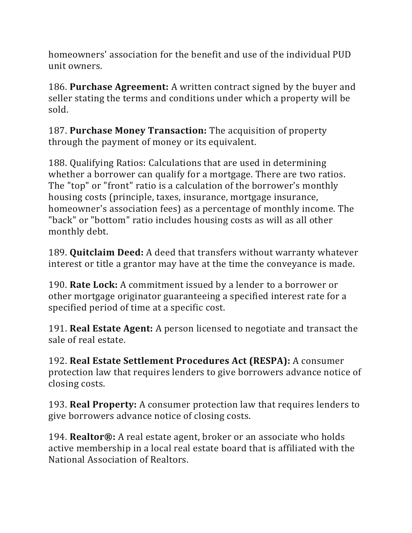homeowners' association for the benefit and use of the individual PUD unit owners.

186. **Purchase Agreement:** A written contract signed by the buyer and seller stating the terms and conditions under which a property will be sold.

187. **Purchase Money Transaction:** The acquisition of property through the payment of money or its equivalent.

188. Qualifying Ratios: Calculations that are used in determining whether a borrower can qualify for a mortgage. There are two ratios. The "top" or "front" ratio is a calculation of the borrower's monthly housing costs (principle, taxes, insurance, mortgage insurance, homeowner's association fees) as a percentage of monthly income. The "back" or "bottom" ratio includes housing costs as will as all other monthly debt.

189. **Quitclaim Deed:** A deed that transfers without warranty whatever interest or title a grantor may have at the time the conveyance is made.

190. **Rate Lock:** A commitment issued by a lender to a borrower or other mortgage originator guaranteeing a specified interest rate for a specified period of time at a specific cost.

191. **Real Estate Agent:** A person licensed to negotiate and transact the sale of real estate.

192. **Real Estate Settlement Procedures Act (RESPA):** A consumer protection law that requires lenders to give borrowers advance notice of closing costs.

193. **Real Property:** A consumer protection law that requires lenders to give borrowers advance notice of closing costs.

194. **Realtor®:** A real estate agent, broker or an associate who holds active membership in a local real estate board that is affiliated with the National Association of Realtors.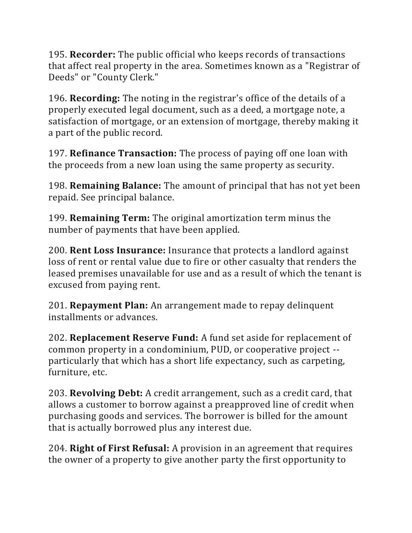195. **Recorder:** The public official who keeps records of transactions that affect real property in the area. Sometimes known as a "Registrar of Deeds" or "County Clerk."

196. **Recording:** The noting in the registrar's office of the details of a properly executed legal document, such as a deed, a mortgage note, a satisfaction of mortgage, or an extension of mortgage, thereby making it a part of the public record.

197. **Refinance Transaction:** The process of paying off one loan with the proceeds from a new loan using the same property as security.

198. **Remaining Balance:** The amount of principal that has not yet been repaid. See principal balance.

199. **Remaining Term:** The original amortization term minus the number of payments that have been applied.

200. **Rent Loss Insurance:** Insurance that protects a landlord against loss of rent or rental value due to fire or other casualty that renders the leased premises unavailable for use and as a result of which the tenant is excused from paying rent.

201. **Repayment Plan:** An arrangement made to repay delinquent installments or advances.

202. **Replacement Reserve Fund:** A fund set aside for replacement of common property in a condominium, PUD, or cooperative project - particularly that which has a short life expectancy, such as carpeting, furniture, etc.

203. **Revolving Debt:** A credit arrangement, such as a credit card, that allows a customer to borrow against a preapproved line of credit when purchasing goods and services. The borrower is billed for the amount that is actually borrowed plus any interest due.

204. **Right of First Refusal:** A provision in an agreement that requires the owner of a property to give another party the first opportunity to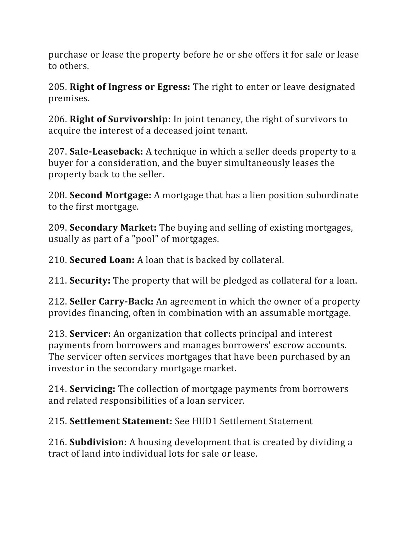purchase or lease the property before he or she offers it for sale or lease to others.

205. **Right of Ingress or Egress:** The right to enter or leave designated premises.

206. **Right of Survivorship:** In joint tenancy, the right of survivors to acquire the interest of a deceased joint tenant.

207. **Sale-Leaseback:** A technique in which a seller deeds property to a buyer for a consideration, and the buyer simultaneously leases the property back to the seller.

208. **Second Mortgage:** A mortgage that has a lien position subordinate to the first mortgage.

209. **Secondary Market:** The buying and selling of existing mortgages, usually as part of a "pool" of mortgages.

210. **Secured Loan:** A loan that is backed by collateral.

211. **Security:** The property that will be pledged as collateral for a loan.

212. **Seller Carry-Back:** An agreement in which the owner of a property provides financing, often in combination with an assumable mortgage.

213. **Servicer:** An organization that collects principal and interest payments from borrowers and manages borrowers' escrow accounts. The servicer often services mortgages that have been purchased by an investor in the secondary mortgage market.

214. **Servicing:** The collection of mortgage payments from borrowers and related responsibilities of a loan servicer.

215. **Settlement Statement:** See HUD1 Settlement Statement

216. **Subdivision:** A housing development that is created by dividing a tract of land into individual lots for sale or lease.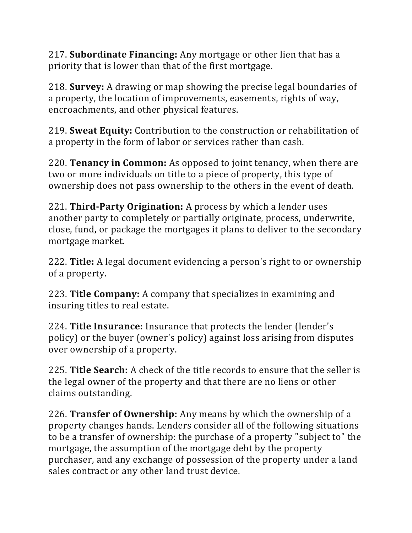217. **Subordinate Financing:** Any mortgage or other lien that has a priority that is lower than that of the first mortgage.

218. **Survey:** A drawing or map showing the precise legal boundaries of a property, the location of improvements, easements, rights of way, encroachments, and other physical features.

219. **Sweat Equity:** Contribution to the construction or rehabilitation of a property in the form of labor or services rather than cash.

220. **Tenancy in Common:** As opposed to joint tenancy, when there are two or more individuals on title to a piece of property, this type of ownership does not pass ownership to the others in the event of death.

221. **Third-Party Origination:** A process by which a lender uses another party to completely or partially originate, process, underwrite, close, fund, or package the mortgages it plans to deliver to the secondary mortgage market.

222. **Title:** A legal document evidencing a person's right to or ownership of a property.

223. **Title Company:** A company that specializes in examining and insuring titles to real estate.

224. **Title Insurance:** Insurance that protects the lender (lender's policy) or the buyer (owner's policy) against loss arising from disputes over ownership of a property.

225. **Title Search:** A check of the title records to ensure that the seller is the legal owner of the property and that there are no liens or other claims outstanding.

226. **Transfer of Ownership:** Any means by which the ownership of a property changes hands. Lenders consider all of the following situations to be a transfer of ownership: the purchase of a property "subject to" the mortgage, the assumption of the mortgage debt by the property purchaser, and any exchange of possession of the property under a land sales contract or any other land trust device.